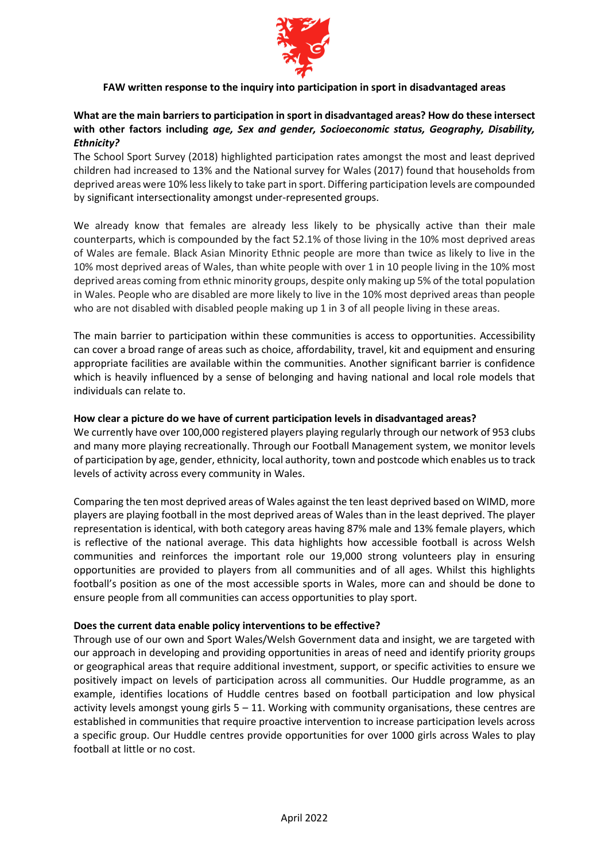

# **FAW written response to the inquiry into participation in sport in disadvantaged areas**

# **What are the main barriers to participation in sport in disadvantaged areas? How do these intersect with other factors including** *age, Sex and gender, Socioeconomic status, Geography, Disability, Ethnicity?*

The School Sport Survey (2018) highlighted participation rates amongst the most and least deprived children had increased to 13% and the National survey for Wales (2017) found that households from deprived areas were 10% less likely to take part in sport. Differing participation levels are compounded by significant intersectionality amongst under-represented groups.

We already know that females are already less likely to be physically active than their male counterparts, which is compounded by the fact 52.1% of those living in the 10% most deprived areas of Wales are female. Black Asian Minority Ethnic people are more than twice as likely to live in the 10% most deprived areas of Wales, than white people with over 1 in 10 people living in the 10% most deprived areas coming from ethnic minority groups, despite only making up 5% of the total population in Wales. People who are disabled are more likely to live in the 10% most deprived areas than people who are not disabled with disabled people making up 1 in 3 of all people living in these areas.

The main barrier to participation within these communities is access to opportunities. Accessibility can cover a broad range of areas such as choice, affordability, travel, kit and equipment and ensuring appropriate facilities are available within the communities. Another significant barrier is confidence which is heavily influenced by a sense of belonging and having national and local role models that individuals can relate to.

#### **How clear a picture do we have of current participation levels in disadvantaged areas?**

We currently have over 100,000 registered players playing regularly through our network of 953 clubs and many more playing recreationally. Through our Football Management system, we monitor levels of participation by age, gender, ethnicity, local authority, town and postcode which enables us to track levels of activity across every community in Wales.

Comparing the ten most deprived areas of Wales against the ten least deprived based on WIMD, more players are playing football in the most deprived areas of Wales than in the least deprived. The player representation is identical, with both category areas having 87% male and 13% female players, which is reflective of the national average. This data highlights how accessible football is across Welsh communities and reinforces the important role our 19,000 strong volunteers play in ensuring opportunities are provided to players from all communities and of all ages. Whilst this highlights football's position as one of the most accessible sports in Wales, more can and should be done to ensure people from all communities can access opportunities to play sport.

#### **Does the current data enable policy interventions to be effective?**

Through use of our own and Sport Wales/Welsh Government data and insight, we are targeted with our approach in developing and providing opportunities in areas of need and identify priority groups or geographical areas that require additional investment, support, or specific activities to ensure we positively impact on levels of participation across all communities. Our Huddle programme, as an example, identifies locations of Huddle centres based on football participation and low physical activity levels amongst young girls  $5 - 11$ . Working with community organisations, these centres are established in communities that require proactive intervention to increase participation levels across a specific group. Our Huddle centres provide opportunities for over 1000 girls across Wales to play football at little or no cost.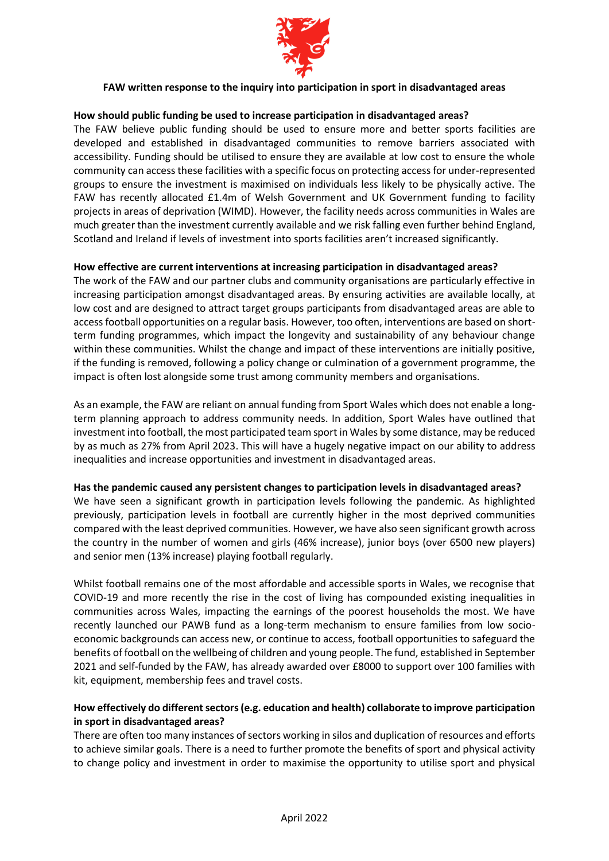

### **FAW written response to the inquiry into participation in sport in disadvantaged areas**

### **How should public funding be used to increase participation in disadvantaged areas?**

The FAW believe public funding should be used to ensure more and better sports facilities are developed and established in disadvantaged communities to remove barriers associated with accessibility. Funding should be utilised to ensure they are available at low cost to ensure the whole community can access these facilities with a specific focus on protecting access for under-represented groups to ensure the investment is maximised on individuals less likely to be physically active. The FAW has recently allocated £1.4m of Welsh Government and UK Government funding to facility projects in areas of deprivation (WIMD). However, the facility needs across communities in Wales are much greater than the investment currently available and we risk falling even further behind England, Scotland and Ireland if levels of investment into sports facilities aren't increased significantly.

### **How effective are current interventions at increasing participation in disadvantaged areas?**

The work of the FAW and our partner clubs and community organisations are particularly effective in increasing participation amongst disadvantaged areas. By ensuring activities are available locally, at low cost and are designed to attract target groups participants from disadvantaged areas are able to access football opportunities on a regular basis. However, too often, interventions are based on shortterm funding programmes, which impact the longevity and sustainability of any behaviour change within these communities. Whilst the change and impact of these interventions are initially positive, if the funding is removed, following a policy change or culmination of a government programme, the impact is often lost alongside some trust among community members and organisations.

As an example, the FAW are reliant on annual funding from Sport Wales which does not enable a longterm planning approach to address community needs. In addition, Sport Wales have outlined that investment into football, the most participated team sport in Wales by some distance, may be reduced by as much as 27% from April 2023. This will have a hugely negative impact on our ability to address inequalities and increase opportunities and investment in disadvantaged areas.

#### **Has the pandemic caused any persistent changes to participation levels in disadvantaged areas?**

We have seen a significant growth in participation levels following the pandemic. As highlighted previously, participation levels in football are currently higher in the most deprived communities compared with the least deprived communities. However, we have also seen significant growth across the country in the number of women and girls (46% increase), junior boys (over 6500 new players) and senior men (13% increase) playing football regularly.

Whilst football remains one of the most affordable and accessible sports in Wales, we recognise that COVID-19 and more recently the rise in the cost of living has compounded existing inequalities in communities across Wales, impacting the earnings of the poorest households the most. We have recently launched our PAWB fund as a long-term mechanism to ensure families from low socioeconomic backgrounds can access new, or continue to access, football opportunities to safeguard the benefits of football on the wellbeing of children and young people. The fund, established in September 2021 and self-funded by the FAW, has already awarded over £8000 to support over 100 families with kit, equipment, membership fees and travel costs.

### **How effectively do different sectors (e.g. education and health) collaborate to improve participation in sport in disadvantaged areas?**

There are often too many instances of sectors working in silos and duplication of resources and efforts to achieve similar goals. There is a need to further promote the benefits of sport and physical activity to change policy and investment in order to maximise the opportunity to utilise sport and physical